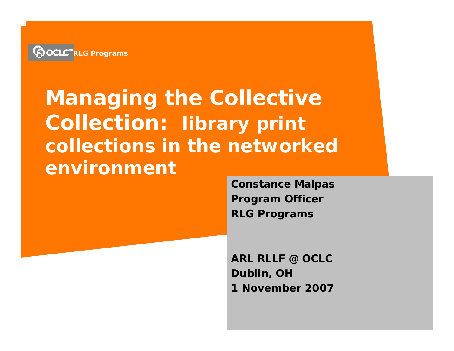

## **Managing the Collective Collection: library print collections in the networked environment**

**Constance Malpas Program Officer RLG Programs**

**ARL RLLF @ OCLC Dublin, OH 1 November 2007**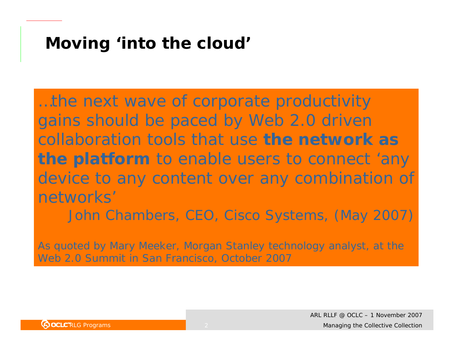## **Moving '***into the cloud'*

…the next wave of corporate productivity gains should be paced by Web 2.0 driven collaboration tools that use *the network as the platform* to enable users to connect 'any device to any content over any combination of networks'

John Chambers, CEO, Cisco Systems, (May 2007)

As quoted by Mary Meeker, Morgan Stanley technology analyst, at the Web 2.0 Summit in San Francisco, October 2007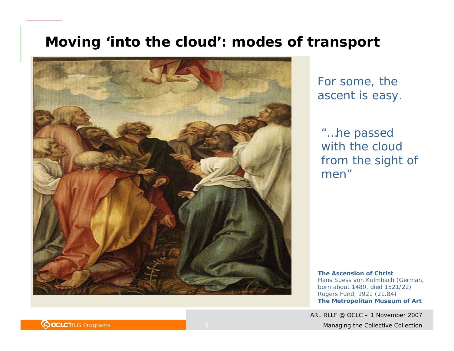#### **Moving '***into the cloud***': modes of transport**



For some, the ascent is easy.

"…*he passed with the cloud from the sight of men*"

**The Ascension of Christ** Hans Suess von Kulmbach (German, born about 1480, died 1521/22) Rogers Fund, 1921 (21.84) **The Metropolitan Museum of Art**

ARL RLLF @ OCLC – 1 November 2007

**POCLC** RLG Programs **COLLECTIVE COLLECTION COLLECTION Managing the Collective Collection**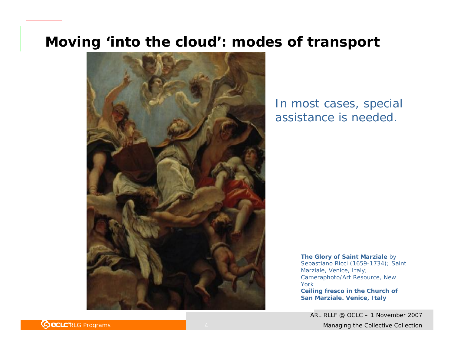#### **Moving '***into the cloud***': modes of transport**



#### In most cases, special assistance is needed.

**The Glory of Saint Marziale** by Sebastiano Ricci (1659-1734); Saint Marziale, Venice, Italy; Cameraphoto/Art Resource, New York**Ceiling fresco in the Church of San Marziale. Venice, Italy**

ARL RLLF @ OCLC – 1 November 2007

**POCLC** RLG Programs **COLLECTIVE COLLECTION Managing the Collective Collection**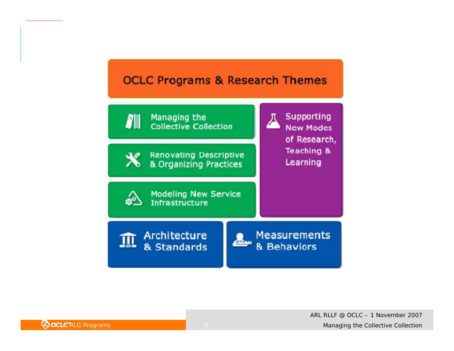#### **OCLC Programs & Research Themes**

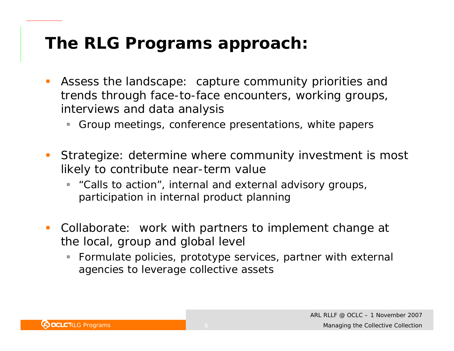## **The RLG Programs approach:**

- $\mathcal{L}_{\mathcal{A}}$  *Assess the landscape*: capture community priorities and trends through face-to-face encounters, working groups, interviews and data analysis
	- U, Group meetings, conference presentations, white papers
- $\mathcal{L}_{\mathcal{A}}$  *Strategize:* determine where community investment is most likely to contribute near-term value
	- $\overline{\phantom{a}}$  "Calls to action", internal and external advisory groups, participation in internal product planning
- $\mathbb{R}^2$  *Collaborate:* work with partners to implement change at the local, group and global level
	- L. Formulate policies, prototype services, partner with external agencies to leverage collective assets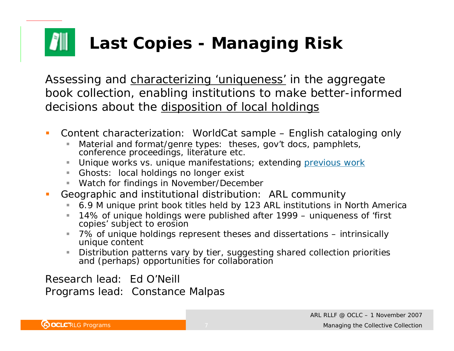# **Last Copies - Managing Risk**

*Assessing and characterizing 'uniqueness' in the aggregate book collection, enabling institutions to make better-informed decisions about the disposition of local holdings*

- $\mathcal{L}_{\mathcal{A}}$  Content characterization: WorldCat sample – English cataloging only
	- Ì. Material and format/genre types: theses, gov't docs, pamphlets, conference proceedings, literature etc.
	- $\mathbb{R}^n$ Unique works vs. unique manifestations; extending previous work
	- Ghosts: local holdings no longer exist
	- u, Watch for findings in November/December
- п Geographic and institutional distribution: ARL community
	- $\blacksquare$ 6.9 M unique print book titles held by 123 ARL institutions in North America
	- П 14% of unique holdings were published after 1999 – uniqueness of 'first copies' subject to erosion
	- $\mathcal{L}_{\mathcal{A}}$  7% of unique holdings represent theses and dissertations – intrinsically unique content
	- ш Distribution patterns vary by tier, suggesting shared collection priorities and (perhaps) opportunities for collaboration

Research lead: Ed O'NeillPrograms lead: Constance Malpas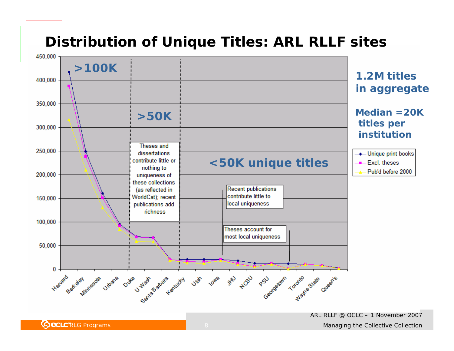#### **Distribution of Unique Titles: ARL RLLF sites**



ARL RLLF @ OCLC – 1 November 2007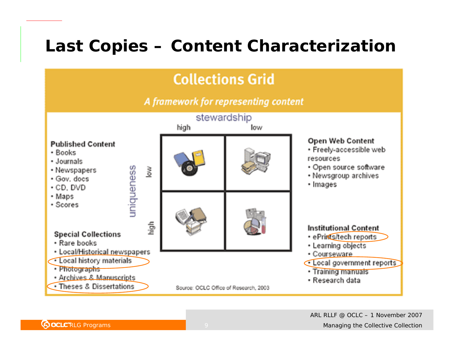## **Last Copies – Content Characterization**

### **Collections Grid**

A framework for representing content

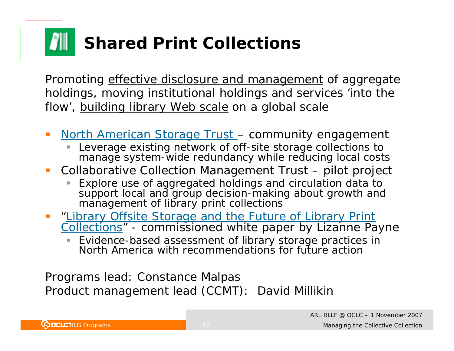# **Shared Print Collections**

*Promoting effective disclosure and management of aggregate holdings, moving institutional holdings and services 'into the flow', building library Web scale on a global scale*

- $\mathbb{R}^n$ **North American Storage Trust - community engagement** 
	- I. Leverage existing network of off-site storage collections to manage system-wide redundancy while reducing local costs
- $\overline{\phantom{a}}$  Collaborative Collection Management Trust – pilot project
	- Explore use of aggregated holdings and circulation data to support local and group decision-making about growth and management of library print collections
- $\mathbb{R}^n$ "Library Offsite Storage and the Future of Library Print Collections" - commissioned white paper by Lizanne Payne
	- L. Evidence-based assessment of library storage practices in North America with recommendations for future action

Programs lead: Constance Malpas Product management lead (CCMT): David Millikin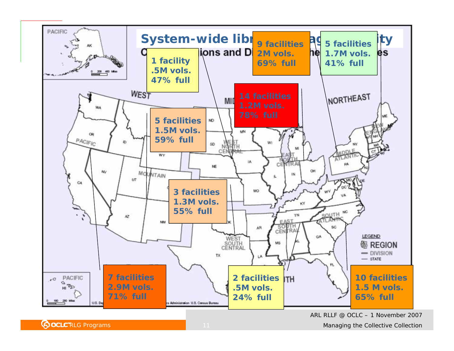

ARL RLLF @ OCLC – 1 November 2007

**ROCLC** RLG Programs **COLL RUG** 2014 **Managing the Collective Collection**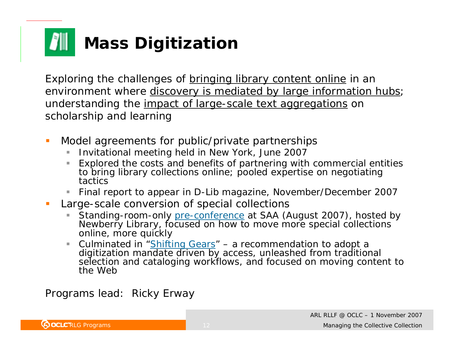# **Mass Digitization**

*Exploring the challenges of bringing library content online in an environment where discovery is mediated by large information hubs; understanding the impact of large-scale text aggregations on scholarship and learning*

- $\mathcal{C}$  Model agreements for public/private partnerships
	- $\overline{\phantom{a}}$ Invitational meeting held in New York, June 2007
	- $\overline{\phantom{a}}$  Explored the costs and benefits of partnering with commercial entities to bring library collections online; pooled expertise on negotiating tactics
	- ш Final report to appear in D-Lib magazine, November/December 2007
- $\mathcal{L}_{\mathcal{A}}$  Large-scale conversion of special collections
	- Standing-room-only pre-conference at SAA (August 2007), hosted by Newberry Library, focused on how to move more special collections online, more quickly
	- $\overline{\phantom{a}}$ Culminated in "Shifting Gears" – a recommendation to adopt a digitization mandate driven by access, unleashed from traditional selection and cataloging workflows, and focused on moving content to the Web

Programs lead: Ricky Erway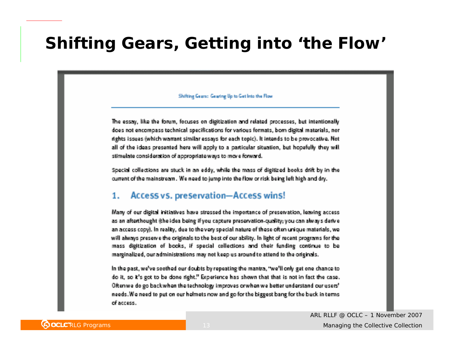## **Shifting Gears, Getting into 'the Flow'**

#### Shifting Gears: Gearing Up to Get Into the Flow

The essay, like the forum, focuses on digitization and related processes, but intentionally does not encompass technical specifications for various formats, born digital materials, nor rights issues (which warrant similar essays for each topic). It intends to be provocative. Not all of the ideas presented here will apply to a particular situation, but hopefully they will stimulate consideration of appropriate ways to move forward.

Special collections are stuck in an eddy, while the mass of digitized books drift by in the current of the mainstream. We need to jump into the flow or risk being left high and dry.

#### 1. Access vs. preservation-Access wins!

Many of our digital initiatives have stressed the importance of preservation, leaving access as an afterthought (the idea being if you capture preservation-quality; you can always derive an access copy). In reality, due to the very special nature of these often unique materials, we will always preserve the originals to the best of our ability. In light of recent programs for the mass digitization of books, if special collections and their funding continue to be marginalized, our administrations may not keep us around to attend to the originals.

In the past, we've seethed our doubts by repeating the mantra, "we'll only get one chance to do it, so it's got to be done right." Experience has shown that that is not in fact the case. Oftenwe do go backwhen the technology improves orwhen we better understand our users' needs. We need to put on our helmets now and go for the biggest bang for the buck in terms of access.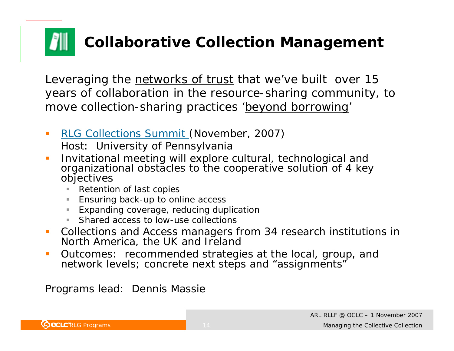# **Collaborative Collection Management**

*Leveraging the networks of trust that we've built over 15 years of collaboration in the resource-sharing community, to move collection-sharing practices 'beyond borrowing'*

- $\mathcal{L}_{\mathcal{A}}$  RLG Collections Summit (November, 2007) Host: University of Pennsylvania
- $\mathcal{C}$  Invitational meeting will explore cultural, technological and organizational obstacles to the cooperative solution of 4 key objectives
	- $\blacksquare$ Retention of last copies
	- $\blacksquare$ Ensuring back-up to online access
	- ш Expanding coverage, reducing duplication
	- **College** Shared access to low-use collections
- $\mathcal{L}_{\mathcal{A}}$  Collections and Access managers from 34 research institutions in North America, the UK and Ireland
- $\mathcal{C}$  Outcomes: recommended strategies at the local, group, and network levels; concrete next steps and "assignments"

Programs lead: Dennis Massie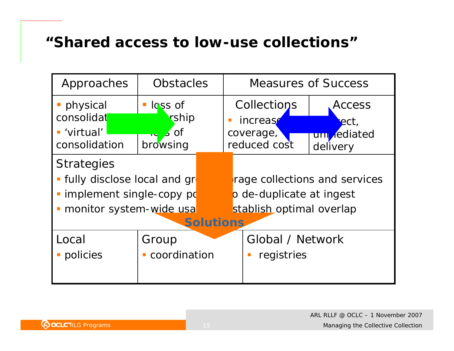#### **"Shared access to low-use collections"**

| Approaches                                                                                                                      | <b>Obstacles</b>                 |  | <b>Measures of Success</b>                                                            |                                 |
|---------------------------------------------------------------------------------------------------------------------------------|----------------------------------|--|---------------------------------------------------------------------------------------|---------------------------------|
| physical                                                                                                                        | $\blacksquare$ loss of           |  | Collections                                                                           | Access                          |
| consolidat<br>■ 'virtual'<br>consolidation                                                                                      | rship<br>$\sim$ 3 of<br>browsing |  | increase<br>coverage,<br>reduced cost                                                 | ect,<br>uni ediated<br>delivery |
| <b>Strategies</b><br>· fully disclose local and gr<br>· implement single-copy po<br>monitor system-wide usa<br><b>Solutions</b> |                                  |  | rage collections and services<br>o de-duplicate at ingest<br>stablish optimal overlap |                                 |
| Local<br>policies                                                                                                               | Group<br>• coordination          |  | Global / Network<br>registries                                                        |                                 |